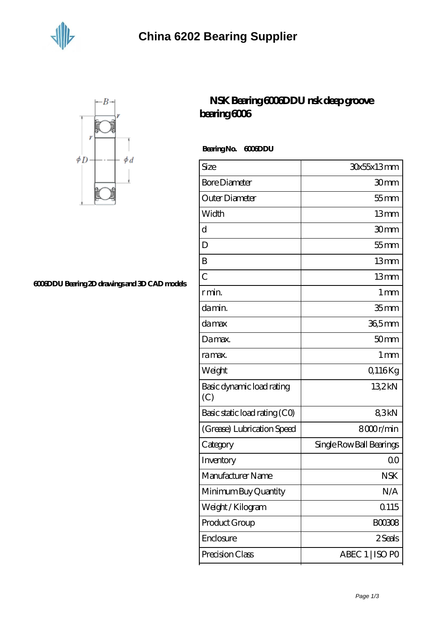



## **[6006DDU Bearing 2D drawings and 3D CAD models](https://m.jonathanandsylvia.com/pic-638530.html)**

## **[NSK Bearing 6006DDU nsk deep groove](https://m.jonathanandsylvia.com/6006ddu-bearing/638530.html) [bearing 6006](https://m.jonathanandsylvia.com/6006ddu-bearing/638530.html)**

 **Bearing No. 6006DDU**

| Size                             | 30x55x13mm               |
|----------------------------------|--------------------------|
| <b>Bore Diameter</b>             | 30mm                     |
| Outer Diameter                   | $55$ mm                  |
| Width                            | 13mm                     |
| $\mathbf d$                      | 30mm                     |
| D                                | $55$ mm                  |
| B                                | 13mm                     |
| $\overline{C}$                   | 13mm                     |
| r min.                           | $1 \,\mathrm{mm}$        |
| da min.                          | 35 <sub>mm</sub>         |
| damax                            | 36,5mm                   |
| Damax.                           | 50 <sub>mm</sub>         |
| ra max.                          | 1 <sub>mm</sub>          |
| Weight                           | Q116Kg                   |
| Basic dynamic load rating<br>(C) | 132kN                    |
| Basic static load rating (CO)    | 83kN                     |
| (Grease) Lubrication Speed       | 8000r/min                |
| Category                         | Single Row Ball Bearings |
| Inventory                        | 0 <sup>0</sup>           |
| Manufacturer Name                | <b>NSK</b>               |
| Minimum Buy Quantity             | N/A                      |
| Weight/Kilogram                  | 0115                     |
| Product Group                    | <b>BOO3O8</b>            |
| Enclosure                        | 2 Seals                  |
| Precision Class                  | ABEC 1   ISO PO          |
|                                  |                          |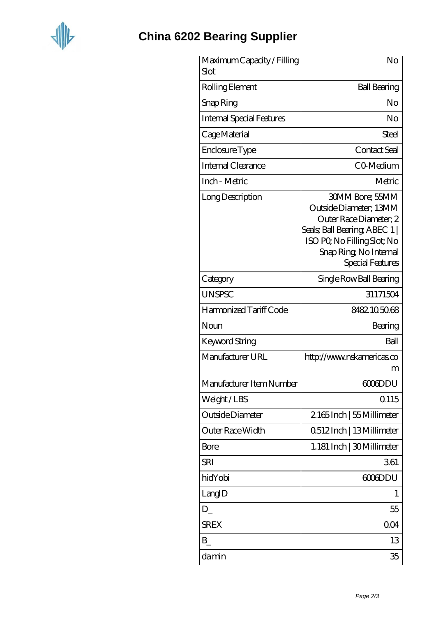

## **[China 6202 Bearing Supplier](https://m.jonathanandsylvia.com)**

| Maximum Capacity / Filling<br>Slot | No                                                                                                                                                                                       |
|------------------------------------|------------------------------------------------------------------------------------------------------------------------------------------------------------------------------------------|
| Rolling Element                    | <b>Ball Bearing</b>                                                                                                                                                                      |
| Snap Ring                          | No                                                                                                                                                                                       |
| <b>Internal Special Features</b>   | No                                                                                                                                                                                       |
| Cage Material                      | Steel                                                                                                                                                                                    |
| Enclosure Type                     | Contact Seal                                                                                                                                                                             |
| Internal Clearance                 | CO-Medium                                                                                                                                                                                |
| Inch - Metric                      | Metric                                                                                                                                                                                   |
| Long Description                   | <b>30MM Bore: 55MM</b><br>Outside Diameter; 13MM<br>Outer Race Diameter, 2<br>Seals; Ball Bearing; ABEC 1  <br>ISO PO, No Filling Slot; No<br>Snap Ring, No Internal<br>Special Features |
| Category                           | Single Row Ball Bearing                                                                                                                                                                  |
| <b>UNSPSC</b>                      | 31171504                                                                                                                                                                                 |
| Harmonized Tariff Code             | 8482105068                                                                                                                                                                               |
| Noun                               | Bearing                                                                                                                                                                                  |
| Keyword String                     | Ball                                                                                                                                                                                     |
| Manufacturer URL                   | http://www.nskamericas.co<br>m                                                                                                                                                           |
| Manufacturer Item Number           | <b>GOGDDU</b>                                                                                                                                                                            |
| Weight/LBS                         | 0.115                                                                                                                                                                                    |
| Outside Diameter                   | 2165Inch   55 Millimeter                                                                                                                                                                 |
| Outer Race Width                   | Q512Inch   13Millimeter                                                                                                                                                                  |
| <b>Bore</b>                        | 1.181 Inch   30Millimeter                                                                                                                                                                |
| <b>SRI</b>                         | 361                                                                                                                                                                                      |
| hidYobi                            | 6006DDU                                                                                                                                                                                  |
| LangID                             | 1                                                                                                                                                                                        |
| D                                  | 55                                                                                                                                                                                       |
| <b>SREX</b>                        | 0 <sub>O</sub> 4                                                                                                                                                                         |
| $\mathbf{B}$                       | 13                                                                                                                                                                                       |
| damin                              | 35                                                                                                                                                                                       |